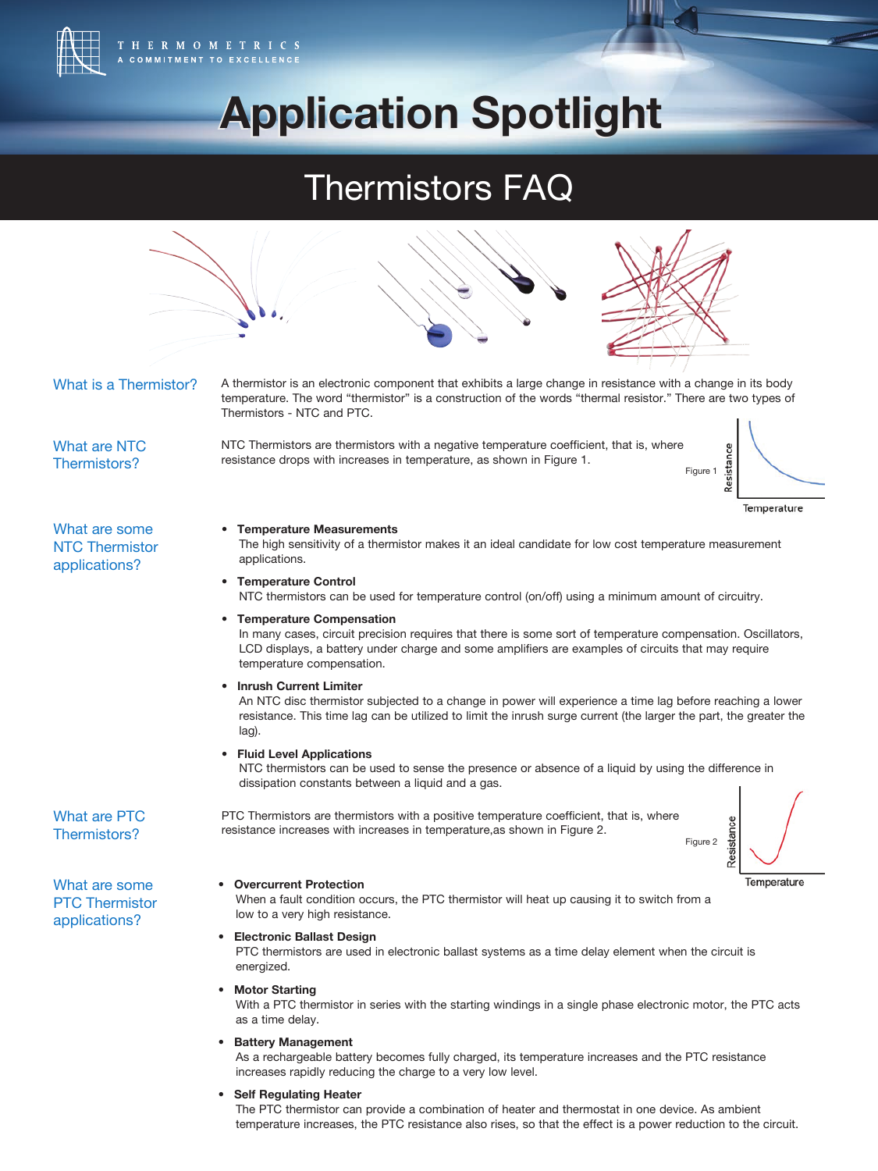

**Application Spotlight Application Spotlight**

# Thermistors FAQ



temperature increases, the PTC resistance also rises, so that the effect is a power reduction to the circuit.